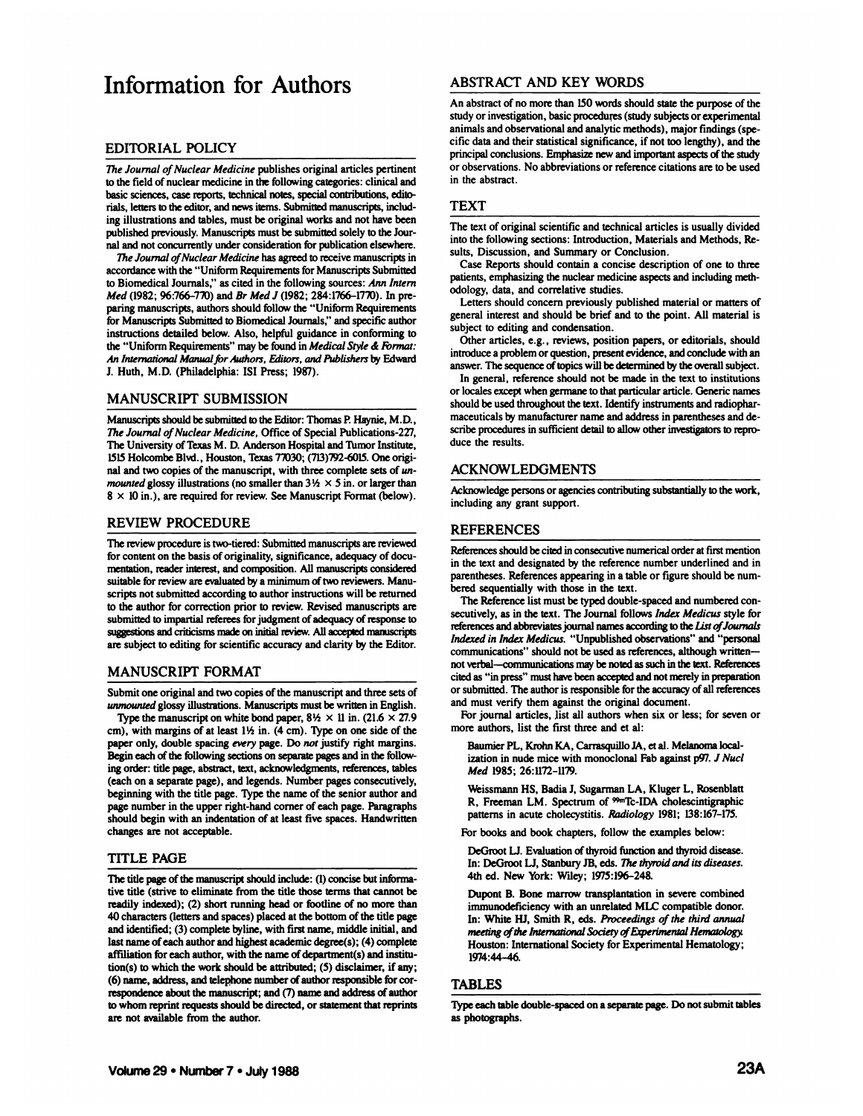# Information for Authors ABSTRACT AND KEY WORDS

# EDITORIAL POLICY

*The Journal of Nuclear Medicine publishes original articles pertinent* to the field of nuclear medicine in the following categories: clinical and basic sciences, case reports, technical notes, special contributions, edito rials, letters to the editor, and news items. Submitted manuscripts, includ ing illustrations and tables, must be original works and not have been published previously. Manuscripts must be submitted solely to the Jour nal and not concurrently under consideration for publication elsewhere.

*The Journal of Nuclear Medicine has agreed to receive manuscripts in* accordance with the "Uniform Requirements for Manuscripts Submitted to Biomedical Journals," as cited in the following sources: Ann Intern *Med (1982; 96:766-770) and Br Afe// (1982; 284:1766-1770). In pre* paring manuscripts, authors should follow the "Uniform Requirements for Manuscripts Submitted to Biomedical Journals," and specific author instructions detailed below. Also, helpful guidance in conforming to the "Uniform Requirements" may be found in Medical Style & Format: *An International Manual for Authors, Editors, and Publishers by Edward* J. Huth, M.D. (Philadelphia: ISI Press; 1987).

# MANUSCRIPT SUBMISSION

Manuscripts should be submitted to the Editor: Thomas P. Haynie, M.D., *The Journal of Nuclear Medicine, Office of Special Publications-227,* The University of Texas M. D. Anderson Hospital and Tumor Institute, 1515Holcombe Blvd., Houston, Texas 7T030; (713)792-6015. One origi nal and two copies of the manuscript, with three complete sets of un*mounted* glossy illustrations (no smaller than  $3\frac{1}{2} \times 5$  in. or larger than  $8 \times 10$  in.), are required for review. See Manuscript Format (below).

## REVIEW PROCEDURE

The review procedure is two-tiered: Submitted manuscripts are reviewed for content on the basis of originality, significance, adequacy of docu mentation, reader interest, and composition. All manuscripts considered suitable for review are evaluated by a minimum of two reviewers. Manuscripts not submitted according to author instructions will be returned to the author for correction prior to review. Revised manuscripts are submitted to impartial referees for judgment of adequacy of response to suggestions and criticisms made on initial review. All accepted manuscripts are subject to editing for scientific accuracy and clarity by the Editor.

# MANUSCRIPT FORMAT

Submit one original and two copies of the manuscript and three sets of *unmounted glossy illustrations. Manuscripts must be written in English.*

Type the manuscript on white bond paper,  $8\frac{1}{2} \times 11$  in. (21.6  $\times$  27.9) cm), with margins of at least  $1\frac{1}{2}$  in. (4 cm). Type on one side of the paper only, double spacing every page. Do not justify right margins. Begin each of the following sections on separate pages and in the follow ing order: title page, abstract, text, acknowledgments, references, tables (each on a separate page), and legends. Number pages consecutively, beginning with the title page. Type the name of the senior author and page number in the upper right-hand corner of each page. Paragraphs should begin with an indentation of at least five spaces. Handwritten changes are not acceptable.

## TITLE PAGE

The title page of the manuscript should include: (1) concise but informative title (strive to eliminate from the title those terms that cannot be readily indexed); (2) short running head or footline of no more than 40 characters (letters and spaces) placed at the bottom of the title page and identified; (3) complete byline, with first name, middle initial, and last name of each author and highest academic degree(s); (4) complete affiliation for each author, with the name of department(s) and institu tion(s) to which the work should be attributed; (5) disclaimer, if any; (6) name, address, and telephone number of author responsible for cor respondence about the manuscript; and (7) name and address of author to whom reprint requests should be directed, or statement that reprints are not available from the author.

An abstract of no more than 150 words should state the purpose of the study or investigation, basic procedures (study subjects or experimental animals and observational and analytic methods), major findings (spe cific data and their statistical significance, if not too lengthy), and the principal conclusions. Emphasize new and important aspects of the study or observations. No abbreviations or reference citations are to be used in the abstract.

# TEXT

The text of original scientific and technical articles is usually divided into the following sections: Introduction, Materials and Methods, Re sults, Discussion, and Summary or Conclusion.

Case Reports should contain a concise description of one to three patients, emphasizing the nuclear medicine aspects and including meth odology, data, and correlative studies.

Letters should concern previously published material or matters of general interest and should be brief and to the point. All material is subject to editing and condensation.

Other articles, e.g., reviews, position papers, or editorials, should introduce a problem or question, present evidence, and conclude with an answer. The sequence of topics will be determined by the overall subject.

In general, reference should not be made in the text to institutions or locales except when germane to that particular article. Generic names should be used throughout the text. Identify instruments and radiopharmaceuticals by manufacturer name and address in parentheses and de scribe procedures in sufficient detail to allow other investigators to repro duce the results.

# ACKNOWLEDGMENTS

Acknowledge persons or agencies contributing substantially to the work, including any grant support.

# REFERENCES

References should be cited in consecutive numerical order at first mention in the text and designated by the reference number underlined and in parentheses. References appearing in a table or figure should be num bered sequentially with those in the text.

The Reference list must be typed double-spaced and numbered con secutively, as in the text. The Journal follows Index Medicus style for references and abbreviates journal names according to the Lia ofJournals *Indexed in Index Medicus. "Unpublished observations" and "personal* communications" should not be used as references, although written not verbal—communications may be noted as such in the text. References cited as "in press" must have been accepted and not merely in preparation or submitted. The author is responsible for the accuracy of all references and must verify them against the original document.

For journal articles, list all authors when six or less; for seven or more authors, list the first three and et al:

Baumier PL, Krohn KA, Carrasquillo JA, et al. Melanoma localization in nude mice with monoclonal Fab against p97. J Nucl *Med 1985; 26:1172-1179.*

Weissmann HS, Badia J, Sugarman LA, Kluger L, Rosenblatt R, Freeman LM. Spectrum of <sup>99m</sup>Tc-IDA cholescintigraphic patterns in acute cholecystitis. Radiology 1981; 138:167-175.

For books and book chapters, follow the examples below:

DeGroot LJ. Evaluation of thyroid function and thyroid disease. In: DeGroot LJ, Stanbury JB, eds. The thyroid and its diseases. 4th ed. New York: Wiley; 1975:196-248.

Dupont B. Bone marrow transplantation in severe combined immunodeficiency with an unrelated MLC compatible donor. In: White HJ, Smith R, eds. Proceedings of the third annual *meeting of the International Society of Experimental Hematology.* Houston: International Society for Experimental Hematology; 1974:44-46.

## TABLES

Type each table double-spaced on a separate page. Do not submit tables as photographs.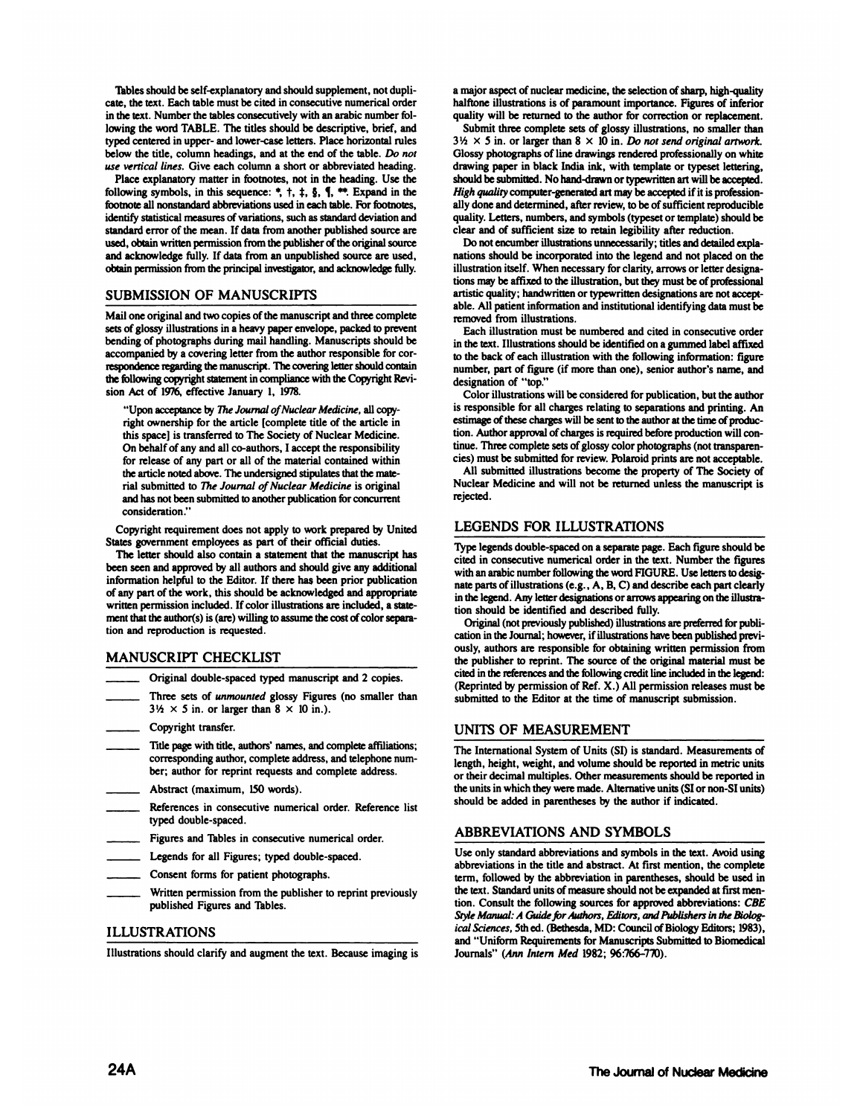Tables should be self-explanatory and should supplement, not dupli cate, the text. Each table must be cited in consecutive numerical order in the text. Number the tables consecutively with an arabic number fol lowing the word TABLE. The titles should be descriptive, brief, and typed centered in upper- and lower-case letters. Place horizontal rules below the title, column headings, and at the end of the table. Do not*use vertical lines. Give each column a short or abbreviated heading.*

Place explanatory matter in footnotes, not in the heading. Use the following symbols, in this sequence:  $\overline{z}$ ,  $\overline{z}$ ,  $\overline{z}$ ,  $\overline{z}$ ,  $\overline{z}$ ,  $\overline{z}$ ,  $\overline{z}$ ,  $\overline{z}$ ,  $\overline{z}$ ,  $\overline{z}$ ,  $\overline{z}$ ,  $\overline{z}$ ,  $\overline{z}$ ,  $\overline{z}$ ,  $\overline{z}$ ,  $\overline{z}$ ,  $\overline{z}$ ,  $\overline{z}$ ,  $\overline$ footnote all nonstandard abbreviations used in each table. For footnotes, identify statistical measures of variations, such as standard deviation and standard error of the mean. If data from another published source are used, obtain written permission from the publisher of the original source and acknowledge fully. If data from an unpublished source are used, obtain permission from the principal investigator, and acknowledge fully.

# SUBMISSION OF MANUSCRIPTS

Mail one original and two copies of the manuscript and three complete sets of glossy illustrations in a heavy paper envelope, packed to prevent bending of photographs during mail handling. Manuscripts should be accompanied by a covering letter from the author responsible for cor respondence regarding the manuscript. The covering letter should contain number, part of figure (if more than one), senior author's name, and the following copyright statement in compliance with the Copyright Revi sion Act of 1976, effective January 1, 1978.

'Upon acceptance by The Journal of Nuclear Medicine, all copyright ownership for the article [complete title of the article in this space] is transferred to The Society of Nuclear Medicine. On behalf of any and all co-authors, I accept the responsibility for release of any part or all of the material contained within the article noted above. The undersigned stipulates that the mate rial submitted to The Journal of Nuclear Medicine is original and has not been submitted to another publication for concurrent consideration."

Copyright requirement does not apply to work prepared by United States government employees as part of their official duties.

The letter should also contain a statement that the manuscript has been seen and approved by all authors and should give any additional information helpful to the Editor. If there has been prior publication of any part of the work, this should be acknowledged and appropriate written permission included. If color illustrations are included, a state ment that the author(s) is (are) willing to assume the cost of color separation and reproduction is requested.

# MANUSCRIPT CHECKLIST

- Original double-spaced typed manuscript and 2 copies.
- Three sets of unmounted glossy Figures (no smaller than  $3\frac{1}{2} \times 5$  *in.* or larger than  $8 \times 10$  *in.*).
- Copyright transfer.
- Title page with title, authors' names, and complete affiliations; corresponding author, complete address, and telephone num ber; author for reprint requests and complete address.
- Abstract (maximum, 150 words).
- References in consecutive numerical order. Reference list typed double-spaced.
- Figures and Tables in consecutive numerical order.
- Legends for all Figures; typed double-spaced.
- Consent forms for patient photographs.
- Written permission from the publisher to reprint previously published Figures and Tables.

# ILLUSTRATIONS

Illustrations should clarify and augment the text. Because imaging is

a major aspect of nuclear medicine, the selection of sharp, high-quality halftone illustrations is of paramount importance. Figures of inferior quality will be returned to the author for correction or replacement.

Submit three complete sets of glossy illustrations, no smaller than  $3\frac{1}{2} \times 5$  in. or larger than  $8 \times 10$  in. Do not send original artwork. Glossy photographs of line drawings rendered professionally on white drawing paper in black India ink, with template or typeset lettering, should be submitted. No hand-drawn or typewritten art will be accepted. *High quality computer-generated art may be accepted if it is profession* ally done and determined, after review, to be of sufficient reproducible quality. Letters, numbers, and symbols (typeset or template) should be clear and of sufficient size to retain legibility after reduction.

Do not encumber illustrations unnecessarily; titles and detailed explanations should be incorporated into the legend and not placed on the illustration itself. When necessary for clarity, arrows or letter designa tions may be affixed to the illustration, but they must be of professional artistic quality; handwritten or typewritten designations are not accept able. All patient information and institutional identifying data must be removed from illustrations.

Each illustration must be numbered and cited in consecutive order in the text. Illustrations should be identified on a gummed label affixed to the back of each illustration with the following information: figure designation of "top."

Color illustrations will be considered for publication, but the author is responsible for all charges relating to separations and printing. An estimage of these charges will be sent to the author at the time of produc tion. Author approval of charges is required before production will con tinue. Three complete sets of glossy color photographs (not transparen cies) must be submitted for review. Polaroid prints are not acceptable.

All submitted illustrations become the property of The Society of Nuclear Medicine and will not be returned unless the manuscript is rejected.

# LEGENDS FOR ILLUSTRATIONS

Type legends double-spaced on a separate page. Each figure should be cited in consecutive numerical order in the text. Number the figures with an arabic number following the word FIGURE. Use letters to desig nate parts of illustrations (e.g., A, B, C) and describe each part clearly in the legend. Any letter designations or arrows appearing on the illustra tion should be identified and described fully.

Original (not previously published) illustrations are preferred for publi cation in the Journal; however, if illustrations have been published previ ously, authors are responsible for obtaining written permission from the publisher to reprint. The source of the original material must be cited in the references and the following credit line included in the legend: (Reprinted by permission of Ref. X.) All permission releases must be submitted to the Editor at the time of manuscript submission.

# UNITS OF MEASUREMENT

The International System of Units (SI) is standard. Measurements of length, height, weight, and volume should be reported in metric units or their decimal multiples. Other measurements should be reported in the units in which they were made. Alternative units (SI or non-Si units) should be added in parentheses by the author if indicated.

# ABBREVIATIONS AND SYMBOLS

Use only standard abbreviations and symbols in the text. Avoid using abbreviations in the title and abstract. At first mention, the complete term, followed by the abbreviation in parentheses, should be used in the text. Standard units of measure should not be expanded at first men tion. Consult the following sources for approved abbreviations: CBE *Style Manual: A Guide for Authors, Editors, and Publishers in the Biolog ical Sciences, 5th ed. (Bethesda, MD: Council of Biology Editors; 1983),* and "Uniform Requirements for Manuscripts Submitted to Biomedicai Journals" (Ann Intern Med 1982; 96:766-770).